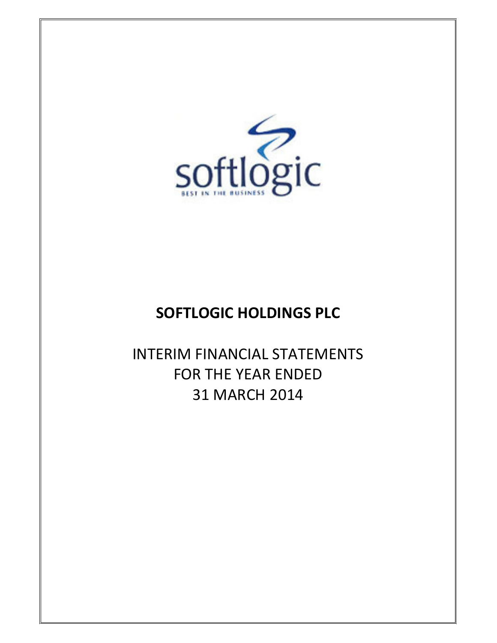

# SOFTLOGIC HOLDINGS PLC

INTERIM FINANCIAL STATEMENTS FOR THE YEAR ENDED 31 MARCH 2014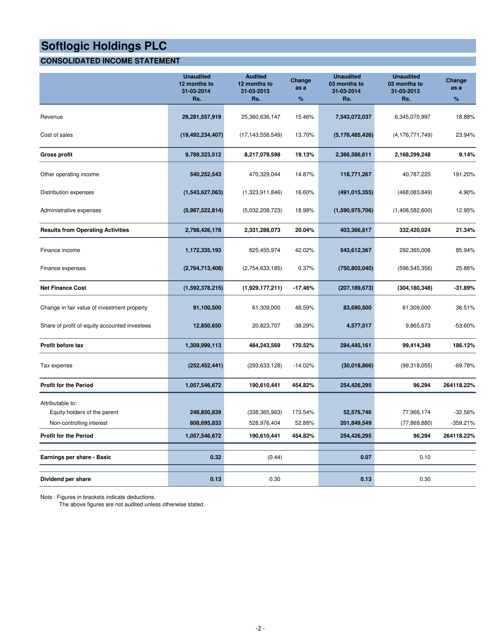# **CONSOLIDATED INCOME STATEMENT**

|                                                                              | <b>Unaudited</b><br>12 months to<br>31-03-2014<br>Rs. | <b>Audited</b><br>12 months to<br>31-03-2013<br>Rs. | Change<br>as a<br>% | <b>Unaudited</b><br>03 months to<br>31-03-2014<br>Rs. | <b>Unaudited</b><br>03 months to<br>31-03-2013<br>Rs. | Change<br>as a<br>%     |
|------------------------------------------------------------------------------|-------------------------------------------------------|-----------------------------------------------------|---------------------|-------------------------------------------------------|-------------------------------------------------------|-------------------------|
| Revenue                                                                      | 29,281,557,919                                        | 25,360,636,147                                      | 15.46%              | 7,543,072,037                                         | 6,345,070,997                                         | 18.88%                  |
| Cost of sales                                                                | (19, 492, 234, 407)                                   | (17, 143, 556, 549)                                 | 13.70%              | (5, 176, 485, 426)                                    | (4, 176, 771, 749)                                    | 23.94%                  |
| <b>Gross profit</b>                                                          | 9,789,323,512                                         | 8,217,079,598                                       | 19.13%              | 2,366,586,611                                         | 2,168,299,248                                         | 9.14%                   |
| Other operating income                                                       | 540,252,543                                           | 470,329,044                                         | 14.87%              | 118,771,267                                           | 40,787,225                                            | 191.20%                 |
| Distribution expenses                                                        | (1,543,627,063)                                       | (1,323,911,846)                                     | 16.60%              | (491, 015, 355)                                       | (468,083,849)                                         | 4.90%                   |
| Administrative expenses                                                      | (5,987,522,814)                                       | (5,032,208,723)                                     | 18.98%              | (1,590,975,706)                                       | (1,408,582,600)                                       | 12.95%                  |
| <b>Results from Operating Activities</b>                                     | 2,798,426,178                                         | 2,331,288,073                                       | 20.04%              | 403,366,817                                           | 332,420,024                                           | 21.34%                  |
| Finance income                                                               | 1,172,335,193                                         | 825,455,974                                         | 42.02%              | 543,612,367                                           | 292,365,008                                           | 85.94%                  |
| Finance expenses                                                             | (2,764,713,408)                                       | (2,754,633,185)                                     | 0.37%               | (750, 802, 040)                                       | (596, 545, 356)                                       | 25.86%                  |
| <b>Net Finance Cost</b>                                                      | (1,592,378,215)                                       | (1,929,177,211)                                     | $-17.46%$           | (207, 189, 673)                                       | (304, 180, 348)                                       | $-31.89%$               |
| Change in fair value of investment property                                  | 91,100,500                                            | 61,309,000                                          | 48.59%              | 83,690,500                                            | 61,309,000                                            | 36.51%                  |
| Share of profit of equity accounted investees                                | 12,850,650                                            | 20,823,707                                          | $-38.29%$           | 4,577,517                                             | 9,865,673                                             | $-53.60%$               |
| Profit before tax                                                            | 1,309,999,113                                         | 484,243,569                                         | 170.52%             | 284,445,161                                           | 99,414,349                                            | 186.12%                 |
| Tax expense                                                                  | (252, 452, 441)                                       | (293, 633, 128)                                     | $-14.02%$           | (30,018,866)                                          | (99,318,055)                                          | $-69.78%$               |
| <b>Profit for the Period</b>                                                 | 1,057,546,672                                         | 190,610,441                                         | 454.82%             | 254,426,295                                           | 96,294                                                | 264118.22%              |
| Attributable to:<br>Equity holders of the parent<br>Non-controlling interest | 248,850,839<br>808,695,833                            | (338, 365, 963)<br>528,976,404                      | 173.54%<br>52.88%   | 52,576,746<br>201,849,549                             | 77,966,174<br>(77,869,880)                            | $-32.56%$<br>$-359.21%$ |
| <b>Profit for the Period</b>                                                 | 1,057,546,672                                         | 190,610,441                                         | 454.82%             | 254,426,295                                           | 96,294                                                | 264118.22%              |
| Earnings per share - Basic                                                   | 0.32                                                  | (0.44)                                              |                     | 0.07                                                  | 0.10                                                  |                         |
| Dividend per share                                                           | 0.13                                                  | 0.30                                                |                     | 0.13                                                  | 0.30                                                  |                         |

Note : Figures in brackets indicate deductions.

The above figures are not audited unless otherwise stated.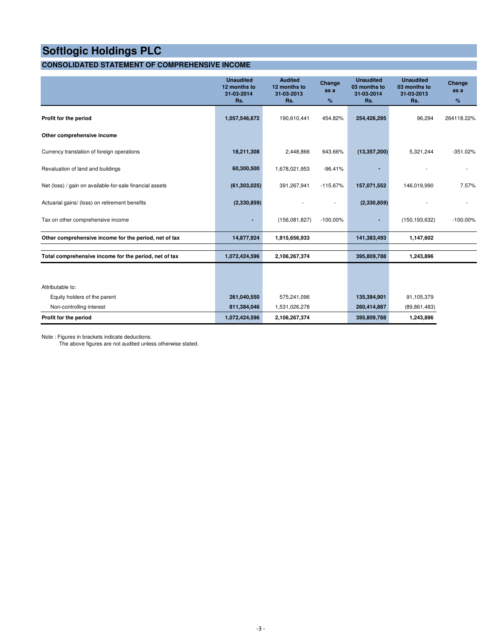# **CONSOLIDATED STATEMENT OF COMPREHENSIVE INCOME**

|                                                          | <b>Unaudited</b><br>12 months to<br>31-03-2014<br>Rs. | <b>Audited</b><br>12 months to<br>31-03-2013<br>Rs. | Change<br>as a<br>% | <b>Unaudited</b><br>03 months to<br>31-03-2014<br>Rs. | <b>Unaudited</b><br>03 months to<br>31-03-2013<br>Rs. | Change<br>as a<br>% |
|----------------------------------------------------------|-------------------------------------------------------|-----------------------------------------------------|---------------------|-------------------------------------------------------|-------------------------------------------------------|---------------------|
| Profit for the period                                    | 1,057,546,672                                         | 190,610,441                                         | 454.82%             | 254,426,295                                           | 96,294                                                | 264118.22%          |
| Other comprehensive income                               |                                                       |                                                     |                     |                                                       |                                                       |                     |
| Currency translation of foreign operations               | 18,211,308                                            | 2,448,866                                           | 643.66%             | (13, 357, 200)                                        | 5,321,244                                             | $-351.02%$          |
| Revaluation of land and buildings                        | 60,300,500                                            | 1,678,021,953                                       | $-96.41%$           |                                                       |                                                       |                     |
| Net (loss) / gain on available-for-sale financial assets | (61, 303, 025)                                        | 391,267,941                                         | $-115.67%$          | 157,071,552                                           | 146,019,990                                           | 7.57%               |
| Actuarial gains/ (loss) on retirement benefits           | (2,330,859)                                           |                                                     |                     | (2,330,859)                                           |                                                       |                     |
| Tax on other comprehensive income                        | ٠                                                     | (156,081,827)                                       | $-100.00\%$         |                                                       | (150, 193, 632)                                       | $-100.00\%$         |
| Other comprehensive income for the period, net of tax    | 14,877,924                                            | 1,915,656,933                                       |                     | 141,383,493                                           | 1,147,602                                             |                     |
| Total comprehensive income for the period, net of tax    | 1,072,424,596                                         | 2,106,267,374                                       |                     | 395,809,788                                           | 1,243,896                                             |                     |
|                                                          |                                                       |                                                     |                     |                                                       |                                                       |                     |
| Attributable to:                                         |                                                       |                                                     |                     |                                                       |                                                       |                     |
| Equity holders of the parent                             | 261,040,550                                           | 575,241,096                                         |                     | 135,394,901                                           | 91,105,379                                            |                     |
| Non-controlling interest                                 | 811,384,046                                           | 1,531,026,278                                       |                     | 260,414,887                                           | (89, 861, 483)                                        |                     |
| Profit for the period                                    | 1,072,424,596                                         | 2,106,267,374                                       |                     | 395,809,788                                           | 1,243,896                                             |                     |

Note : Figures in brackets indicate deductions.

The above figures are not audited unless otherwise stated.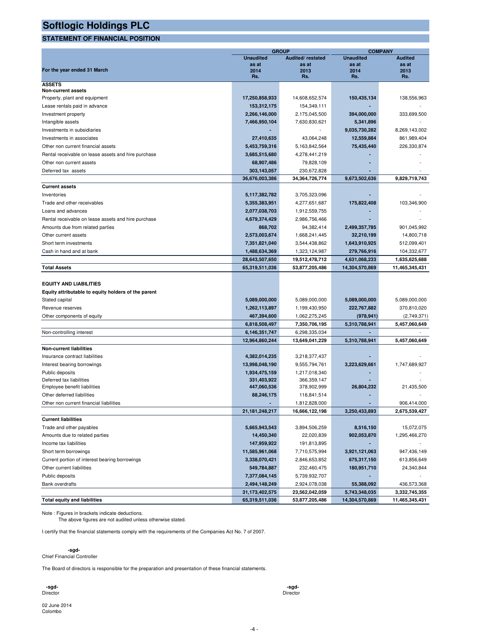## **STATEMENT OF FINANCIAL POSITION**

|                                                     |                   | <b>GROUP</b>      | <b>COMPANY</b>   |                |  |  |
|-----------------------------------------------------|-------------------|-------------------|------------------|----------------|--|--|
|                                                     | <b>Unaudited</b>  | Audited/restated  | <b>Unaudited</b> | <b>Audited</b> |  |  |
|                                                     | as at             | as at             | as at            | as at          |  |  |
| For the year ended 31 March                         | 2014<br>Rs.       | 2013<br>Rs.       | 2014<br>Rs.      | 2013           |  |  |
|                                                     |                   |                   |                  | Rs.            |  |  |
| <b>ASSETS</b><br><b>Non-current assets</b>          |                   |                   |                  |                |  |  |
| Property, plant and equipment                       | 17,250,858,933    | 14,608,652,574    | 150,435,134      | 138,556,963    |  |  |
| Lease rentals paid in advance                       | 153,312,175       | 154,349,111       |                  |                |  |  |
| Investment property                                 | 2,266,146,000     | 2,175,045,500     | 394,000,000      | 333,699,500    |  |  |
|                                                     | 7,466,950,104     |                   | 5,341,896        |                |  |  |
| Intangible assets<br>Investments in subsidiaries    |                   | 7,630,830,621     |                  | 8,269,143,002  |  |  |
| Investments in associates                           |                   |                   | 9,035,730,282    |                |  |  |
|                                                     | 27,410,635        | 43,064,248        | 12,559,884       | 861,989,404    |  |  |
| Other non current financial assets                  | 5,453,759,316     | 5,163,842,564     | 75,435,440       | 226,330,874    |  |  |
| Rental receivable on lease assets and hire purchase | 3,685,515,680     | 4,278,441,219     |                  |                |  |  |
| Other non current assets                            | 68,907,486        | 79,828,109        |                  |                |  |  |
| Deferred tax assets                                 | 303,143,057       | 230,672,828       |                  |                |  |  |
|                                                     | 36,676,003,386    | 34, 364, 726, 774 | 9,673,502,636    | 9,829,719,743  |  |  |
| <b>Current assets</b>                               |                   |                   |                  |                |  |  |
| Inventories                                         | 5,117,382,782     | 3,705,323,096     |                  |                |  |  |
| Trade and other receivables                         | 5,355,383,951     | 4,277,651,687     | 175,822,408      | 103,346,900    |  |  |
| Loans and advances                                  | 2,077,038,703     | 1,912,559,755     |                  |                |  |  |
| Rental receivable on lease assets and hire purchase | 4,679,374,429     | 2,986,756,466     |                  |                |  |  |
| Amounts due from related parties                    | 868,702           | 94,382,414        | 2,499,357,785    | 901,045,992    |  |  |
| Other current assets                                | 2,573,003,674     | 1,668,241,445     | 32,210,199       | 14,800,718     |  |  |
| Short term investments                              | 7,351,821,040     | 3,544,438,862     | 1,643,910,925    | 512,099,401    |  |  |
| Cash in hand and at bank                            | 1,488,634,369     | 1,323,124,987     | 279,766,916      | 104,332,677    |  |  |
|                                                     | 28,643,507,650    | 19,512,478,712    | 4,631,068,233    | 1,635,625,688  |  |  |
| <b>Total Assets</b>                                 | 65,319,511,036    | 53,877,205,486    | 14,304,570,869   | 11,465,345,431 |  |  |
|                                                     |                   |                   |                  |                |  |  |
| <b>EQUITY AND LIABILITIES</b>                       |                   |                   |                  |                |  |  |
| Equity attributable to equity holders of the parent |                   |                   |                  |                |  |  |
| Stated capital                                      | 5,089,000,000     | 5,089,000,000     | 5,089,000,000    | 5,089,000,000  |  |  |
| Revenue reserves                                    | 1,262,113,897     | 1,199,430,950     | 222,767,882      | 370,810,020    |  |  |
| Other components of equity                          | 467,394,600       | 1,062,275,245     | (978, 941)       | (2,749,371)    |  |  |
|                                                     |                   |                   |                  |                |  |  |
|                                                     | 6,818,508,497     | 7,350,706,195     | 5,310,788,941    | 5,457,060,649  |  |  |
| Non-controlling interest                            | 6,146,351,747     | 6,298,335,034     |                  |                |  |  |
|                                                     | 12,964,860,244    | 13,649,041,229    | 5,310,788,941    | 5,457,060,649  |  |  |
| <b>Non-current liabilities</b>                      |                   |                   |                  |                |  |  |
| Insurance contract liabilities                      | 4,382,014,235     | 3,218,377,437     |                  |                |  |  |
| Interest bearing borrowings                         | 13,998,048,190    | 9,555,794,761     | 3,223,629,661    | 1,747,689,927  |  |  |
| Public deposits                                     | 1,934,475,159     | 1,217,018,340     |                  |                |  |  |
| Deferred tax liabilities                            | 331,403,922       | 366,359,147       |                  |                |  |  |
| Employee benefit liabilities                        | 447,060,536       | 378,902,999       | 26,804,232       | 21,435,500     |  |  |
| Other deferred liabilities                          | 88,246,175        | 116,841,514       |                  |                |  |  |
| Other non current financial liabilities             |                   | 1,812,828,000     |                  | 906,414,000    |  |  |
|                                                     | 21, 181, 248, 217 | 16,666,122,198    | 3,250,433,893    | 2,675,539,427  |  |  |
| <b>Current liabilities</b>                          |                   |                   |                  |                |  |  |
| Trade and other payables                            | 5,665,943,543     | 3,894,506,259     | 8,516,150        | 15,072,075     |  |  |
| Amounts due to related parties                      | 14,450,340        | 22,020,839        | 902,053,870      | 1,295,466,270  |  |  |
| Income tax liabilities                              | 147,959,922       | 191,813,895       |                  |                |  |  |
| Short term borrowings                               | 11,585,961,068    | 7,710,575,994     | 3,921,121,063    | 947,436,149    |  |  |
| Current portion of interest bearing borrowings      | 3,338,070,421     | 2,846,653,852     | 675,317,150      | 613,856,649    |  |  |
| Other current liabilities                           | 549,784,887       | 232,460,475       | 180,951,710      | 24,340,844     |  |  |
| Public deposits                                     | 7,377,084,145     | 5,739,932,707     |                  |                |  |  |
| <b>Bank overdrafts</b>                              | 2,494,148,249     | 2,924,078,038     | 55,388,092       | 436,573,368    |  |  |
|                                                     | 31,173,402,575    | 23,562,042,059    | 5,743,348,035    | 3,332,745,355  |  |  |
| <b>Total equity and liabilities</b>                 | 65,319,511,036    | 53,877,205,486    | 14,304,570,869   | 11,465,345,431 |  |  |

Note : Figures in brackets indicate deductions. The above figures are not audited unless otherwise stated.

I certify that the financial statements comply with the requirements of the Companies Act No. 7 of 2007.

# **-sgd-**Chief Financial Controller

The Board of directors is responsible for the preparation and presentation of these financial statements.

 **-sgd- -sgd-**Director Director

02 June 2014 Colombo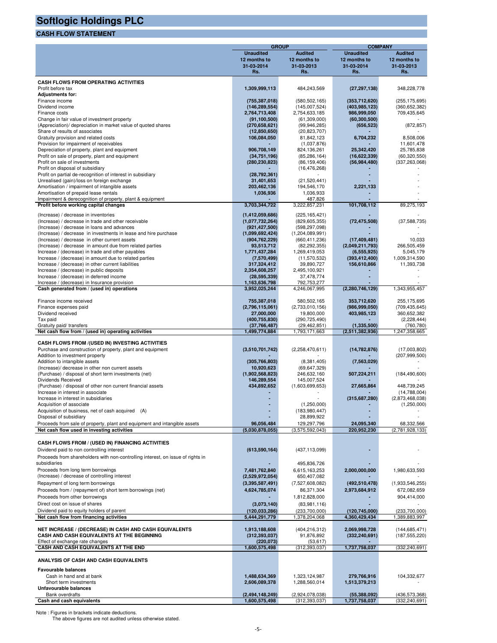# **CASH FLOW STATEMENT**

|                                                                                 |                  | <b>GROUP</b>                       | <b>COMPANY</b>     |                 |  |  |  |
|---------------------------------------------------------------------------------|------------------|------------------------------------|--------------------|-----------------|--|--|--|
|                                                                                 | <b>Unaudited</b> | <b>Audited</b>                     | <b>Unaudited</b>   | <b>Audited</b>  |  |  |  |
|                                                                                 | 12 months to     | 12 months to                       | 12 months to       | 12 months to    |  |  |  |
|                                                                                 | 31-03-2014       | 31-03-2013                         | 31-03-2014         | 31-03-2013      |  |  |  |
|                                                                                 | Rs.              | Rs.                                | Rs.                | Rs.             |  |  |  |
|                                                                                 |                  |                                    |                    |                 |  |  |  |
| <b>CASH FLOWS FROM OPERATING ACTIVITIES</b>                                     |                  |                                    |                    |                 |  |  |  |
| Profit before tax                                                               | 1,309,999,113    | 484,243,569                        | (27, 297, 138)     | 348,228,778     |  |  |  |
| <b>Adjustments for:</b>                                                         |                  |                                    |                    |                 |  |  |  |
| Finance income                                                                  | (755, 387, 018)  | (580, 502, 165)                    | (353, 712, 620)    | (255, 175, 695) |  |  |  |
| Dividend income                                                                 | (146, 289, 554)  | (145,007,524)                      | (403, 985, 123)    | (360, 652, 382) |  |  |  |
| Finance costs                                                                   | 2,764,713,408    | 2,754,633,185                      | 986,999,050        | 709,435,645     |  |  |  |
| Change in fair value of investment property                                     | (91, 100, 500)   | (61, 309, 000)                     | (60, 300, 500)     |                 |  |  |  |
| (Appreciation)/ depreciation in market value of quoted shares                   | (270, 658, 621)  | (99, 946, 285)                     | (656, 523)         | (872, 857)      |  |  |  |
| Share of results of associates                                                  | (12,850,650)     | (20, 823, 707)                     |                    |                 |  |  |  |
| Gratuity provision and related costs                                            | 106,084,050      | 81,842,123                         | 6,704,232          | 8,508,006       |  |  |  |
| Provision for impairment of receivables                                         |                  | (1,037,876)                        |                    | 11,601,478      |  |  |  |
| Depreciation of property, plant and equipment                                   | 906,708,149      | 824,136,261                        | 25,342,420         | 25,785,838      |  |  |  |
| Profit on sale of property, plant and equipment                                 | (34, 751, 196)   | (85, 286, 164)                     | (16,622,339)       | (60, 320, 550)  |  |  |  |
| Profit on sale of investments                                                   | (280, 230, 823)  | (86, 159, 406)                     | (56, 984, 480)     | (337, 263, 068) |  |  |  |
| Profit on disposal of subsidiary                                                |                  | (16, 476, 268)                     |                    |                 |  |  |  |
| Profit on partial de-recognition of interest in subsidiary                      | (28, 792, 361)   |                                    |                    |                 |  |  |  |
|                                                                                 |                  |                                    |                    |                 |  |  |  |
| Unrealised (gain)/loss on foreign exchange                                      | 31,401,653       | (21, 520, 441)                     |                    |                 |  |  |  |
| Amortisation / impairment of intangible assets                                  | 203,462,136      | 194,546,170                        | 2,221,133          |                 |  |  |  |
| Amortisation of prepaid lease rentals                                           | 1,036,936        | 1,036,933                          |                    |                 |  |  |  |
| Impairment & derecognition of property, plant & equipment                       |                  | 487,826                            |                    |                 |  |  |  |
| Profit before working capital changes                                           | 3,703,344,722    | 3,222,857,231                      | 101,708,112        | 89,275,193      |  |  |  |
| (Increase) / decrease in inventories                                            | (1,412,059,686)  | (225, 165, 421)                    |                    |                 |  |  |  |
| (Increase) / decrease in trade and other receivable                             | (1,077,732,264)  | (829, 605, 355)                    | (72, 475, 508)     | (37,588,735)    |  |  |  |
|                                                                                 |                  |                                    |                    |                 |  |  |  |
| (Increase) / decrease in loans and advances                                     | (921, 427, 500)  | (598, 297, 098)<br>(1,204,089,991) |                    |                 |  |  |  |
| (Increase) / decrease in investments in lease and hire purchase                 | (1,099,692,424)  |                                    |                    |                 |  |  |  |
| (Increase) / decrease in other current assets                                   | (904, 762, 229)  | (660, 411, 236)                    | (17, 409, 481)     | 10,033          |  |  |  |
| (Increase) / decrease in amount due from related parties                        | 93,513,712       | (82, 292, 355)                     | (2,049,211,793)    | 266,505,459     |  |  |  |
| Increase / (decrease) in trade and other payables                               | 1,771,437,284    | 1,269,419,053                      | (6, 555, 925)      | 5,045,179       |  |  |  |
| Increase / (decrease) in amount due to related parties                          | (7,570,499)      | (11, 570, 532)                     | (393, 412, 400)    | 1,009,314,590   |  |  |  |
| Increase / (decrease) in other current liabilities                              | 317,324,412      | 39,890,727                         | 156,610,866        | 11,393,738      |  |  |  |
| Increase / (decrease) in public deposits                                        | 2,354,608,257    | 2,495,100,921                      |                    |                 |  |  |  |
| Increase / (decrease) in deferred income                                        | (28, 595, 339)   | 37,478,774                         |                    |                 |  |  |  |
| Increase / (decrease) in Insurance provision                                    | 1,163,636,798    | 792,753,277                        |                    |                 |  |  |  |
| Cash generated from / (used in) operations                                      | 3,952,025,244    | 4,246,067,995                      | (2, 280, 746, 129) | 1,343,955,457   |  |  |  |
|                                                                                 |                  |                                    |                    |                 |  |  |  |
| Finance income received                                                         | 755,387,018      | 580,502,165                        | 353,712,620        | 255,175,695     |  |  |  |
| Finance expenses paid                                                           | (2,796,115,061)  | (2,733,010,156)                    | (986, 999, 050)    | (709, 435, 645) |  |  |  |
| Dividend received                                                               | 27,000,000       | 19,800,000                         | 403,985,123        | 360,652,382     |  |  |  |
| Tax paid                                                                        | (400, 755, 830)  | (290, 725, 490)                    |                    | (2,228,444)     |  |  |  |
| Gratuity paid/ transfers                                                        | (37,766,487)     | (29, 462, 851)                     | (1, 335, 500)      | (760, 780)      |  |  |  |
| Net cash flow from / (used in) operating activities                             | 1,499,774,884    | 1,793,171,663                      | (2,511,382,936)    | 1,247,358,665   |  |  |  |
|                                                                                 |                  |                                    |                    |                 |  |  |  |
| CASH FLOWS FROM /(USED IN) INVESTING ACTIVITIES                                 |                  |                                    |                    |                 |  |  |  |
| Purchase and construction of property, plant and equipment                      | (3,510,701,742)  | (2,258,470,611)                    | (14, 782, 876)     | (17,003,802)    |  |  |  |
| Addition to investment property                                                 |                  |                                    |                    | (207, 999, 500) |  |  |  |
| Addition to intangible assets                                                   | (305, 766, 803)  | (8,381,405)                        | (7, 563, 029)      |                 |  |  |  |
| (Increase)/ decrease in other non current assets                                | 10,920,623       | (69, 647, 329)                     |                    |                 |  |  |  |
| (Purchase) / disposal of short term investments (net)                           | (1,902,568,823)  | 246,632,160                        | 507,224,211        | (184, 490, 600) |  |  |  |
| Dividends Received                                                              | 146,289,554      | 145,007,524                        |                    |                 |  |  |  |
| (Purchase) / disposal of other non current financial assets                     | 434,892,652      | (1,603,699,653)                    | 27,665,864         | 448,739,245     |  |  |  |
| Increase in interest in associate                                               |                  |                                    |                    | (14,788,004)    |  |  |  |
| Increase in interest in subsidiaries                                            |                  |                                    | (315, 687, 280)    | (2,873,468,038) |  |  |  |
| Acquisition of associate                                                        |                  | (1,250,000)                        |                    | (1,250,000)     |  |  |  |
| Acquisition of business, net of cash acquired (A)                               |                  | (183,980,447)                      |                    |                 |  |  |  |
| Disposal of subsidiary                                                          |                  | 28,899,922                         |                    |                 |  |  |  |
| Proceeds from sale of property, plant and equipment and intangible assets       | 96,056,484       | 129,297,796                        | 24,095,340         | 68,332,566      |  |  |  |
| Net cash flow used in investing activities                                      | (5,030,878,055)  | (3,575,592,043)                    | 220,952,230        | (2,781,928,133) |  |  |  |
|                                                                                 |                  |                                    |                    |                 |  |  |  |
|                                                                                 |                  |                                    |                    |                 |  |  |  |
| CASH FLOWS FROM / (USED IN) FINANCING ACTIVITIES                                |                  |                                    |                    |                 |  |  |  |
| Dividend paid to non controlling interest                                       | (613, 590, 164)  | (437, 113, 099)                    |                    |                 |  |  |  |
| Proceeds from shareholders with non-controlling interest, on issue of rights in |                  |                                    |                    |                 |  |  |  |
| subsidiaries                                                                    |                  | 495,836,726                        |                    |                 |  |  |  |
| Proceeds from long term borrowings                                              | 7,481,762,840    | 6,615,163,253                      | 2,000,000,000      | 1,980,633,593   |  |  |  |
| (Increase) / decrease of controlling interest                                   | (2,529,972,054)  | 650,407,082                        |                    |                 |  |  |  |
| Repayment of long term borrowings                                               | (3,395,587,491)  | (7,527,608,082)                    | (492, 510, 478)    | (1,933,546,255) |  |  |  |
|                                                                                 |                  |                                    |                    |                 |  |  |  |
| Proceeds from / (repayment of) short term borrowings (net)                      | 4,624,785,074    | 86,371,304                         | 2,973,684,912      | 672,082,659     |  |  |  |
| Proceeds from other borrowings                                                  |                  | 1,812,828,000                      |                    | 904,414,000     |  |  |  |
| Direct cost on issue of shares                                                  | (3,073,140)      | (83,981,116)                       |                    |                 |  |  |  |
| Dividend paid to equity holders of parent                                       | (120, 033, 286)  | (233,700,000)                      | (120,745,000)      | (233,700,000)   |  |  |  |
| Net cash flow from financing activities                                         | 5,444,291,779    | 1,378,204,068                      | 4,360,429,434      | 1,389,883,997   |  |  |  |
|                                                                                 |                  |                                    |                    |                 |  |  |  |
| NET INCREASE / (DECREASE) IN CASH AND CASH EQUIVALENTS                          | 1,913,188,608    | (404, 216, 312)                    | 2,069,998,728      | (144, 685, 471) |  |  |  |
| CASH AND CASH EQUIVALENTS AT THE BEGINNING                                      | (312, 393, 037)  | 91,876,892                         | (332, 240, 691)    | (187, 555, 220) |  |  |  |
| Effect of exchange rate changes                                                 | (220, 073)       | (53, 617)                          |                    |                 |  |  |  |
| CASH AND CASH EQUIVALENTS AT THE END                                            | 1,600,575,498    | (312, 393, 037)                    | 1,737,758,037      | (332, 240, 691) |  |  |  |
|                                                                                 |                  |                                    |                    |                 |  |  |  |
| ANALYSIS OF CASH AND CASH EQUIVALENTS                                           |                  |                                    |                    |                 |  |  |  |
|                                                                                 |                  |                                    |                    |                 |  |  |  |
| <b>Favourable balances</b>                                                      |                  |                                    |                    |                 |  |  |  |
| Cash in hand and at bank                                                        | 1,488,634,369    | 1,323,124,987                      | 279,766,916        | 104,332,677     |  |  |  |
| Short term investments                                                          | 2,606,089,378    | 1,288,560,014                      | 1,513,379,213      |                 |  |  |  |
| Unfavourable balances                                                           |                  |                                    |                    |                 |  |  |  |
| <b>Bank overdrafts</b>                                                          | (2,494,148,249)  | (2,924,078,038)                    | (55,388,092)       | (436, 573, 368) |  |  |  |
| Cash and cash equivalents                                                       | 1,600,575,498    | (312, 393, 037)                    | 1,737,758,037      | (332, 240, 691) |  |  |  |

Note : Figures in brackets indicate deductions. The above figures are not audited unless otherwise stated.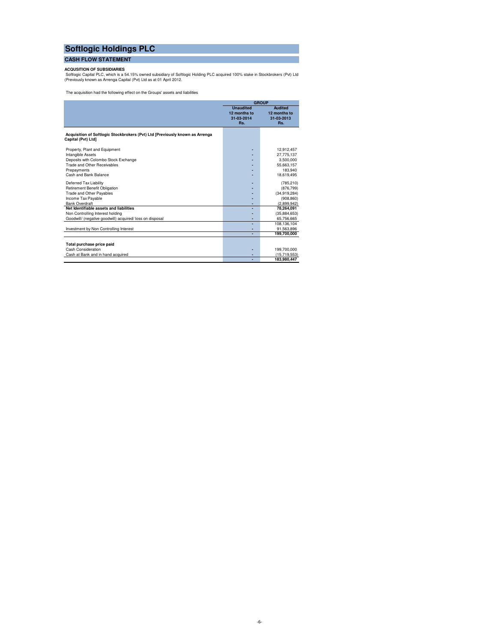## **CASH FLOW STATEMENT**

**ACQUSITION OF SUBSIDIARIES**<br>Softlogic Capital PLC, which is a 54.15% owned subsidiary of Softlogic Holding PLC acquired 100% stake in Stockbrokers (Pvt) Ltd<br>(Previously known as Arrenga Capital (Pvt) Ltd as at 01 April 20

The acquisition had the following effect on the Groups' assets and liabilities

|                                                                                                    |                                                       | <b>GROUP</b>                                        |
|----------------------------------------------------------------------------------------------------|-------------------------------------------------------|-----------------------------------------------------|
|                                                                                                    | <b>Unaudited</b><br>12 months to<br>31-03-2014<br>Rs. | <b>Audited</b><br>12 months to<br>31-03-2013<br>Rs. |
| Acquisition of Softlogic Stockbrokers (Pvt) Ltd [Previously known as Arrenga<br>Capital (Pvt) Ltd] |                                                       |                                                     |
| Property, Plant and Equipment                                                                      |                                                       | 12,912,457                                          |
| Intangible Assets                                                                                  |                                                       | 27,775,137                                          |
| Deposits with Colombo Stock Exchange                                                               |                                                       | 3.500.000                                           |
| Trade and Other Receivables                                                                        |                                                       | 55,663,157                                          |
| Prepayments                                                                                        |                                                       | 183.940                                             |
| Cash and Bank Balance                                                                              |                                                       | 18,619,495                                          |
| Deferred Tax Liability                                                                             |                                                       | (785, 210)                                          |
| Retirement Benefit Obligation                                                                      |                                                       | (876, 799)                                          |
| <b>Trade and Other Payables</b>                                                                    |                                                       | (34.919.284)                                        |
| Income Tax Payable                                                                                 |                                                       | (908, 860)                                          |
| <b>Bank Overdraft</b>                                                                              |                                                       | (2,899,942)                                         |
| Net Identifiable assets and liabilities                                                            |                                                       | 78.264.091                                          |
| Non Controlling Interest holding                                                                   |                                                       | (35,884,653)                                        |
| Goodwill/ (negative goodwill) acquired/ loss on disposal                                           |                                                       | 65,756,665                                          |
|                                                                                                    |                                                       | 108,136,104                                         |
| Investment by Non Controlling Interest                                                             |                                                       | 91,563,896                                          |
|                                                                                                    |                                                       | 199.700.000                                         |
| Total purchase price paid                                                                          |                                                       |                                                     |
| Cash Consideration                                                                                 |                                                       | 199,700,000                                         |
| Cash at Bank and in hand acquired                                                                  |                                                       | (15,719,553)                                        |
|                                                                                                    |                                                       | 183,980,447                                         |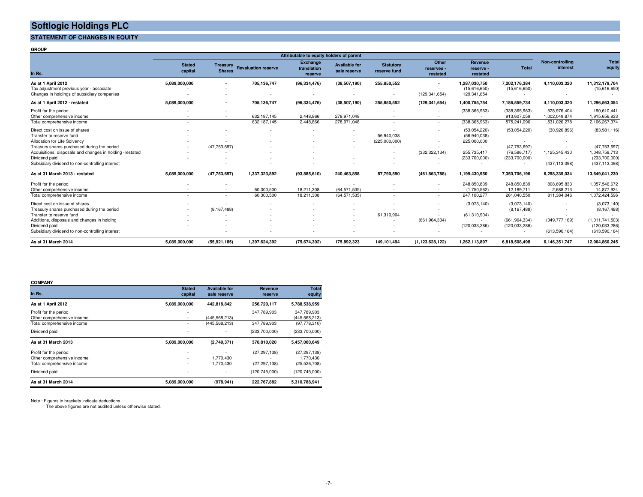**STATEMENT OF CHANGES IN EQUITY** 

**GROUP**

|                                                                                                                                                                                                                                                                           |                          |                                  |                                  | Attributable to equity holders of parent  |                                          |                                  |                                 |                                                                                                 |                                                                   |                                                  |                                                                                       |
|---------------------------------------------------------------------------------------------------------------------------------------------------------------------------------------------------------------------------------------------------------------------------|--------------------------|----------------------------------|----------------------------------|-------------------------------------------|------------------------------------------|----------------------------------|---------------------------------|-------------------------------------------------------------------------------------------------|-------------------------------------------------------------------|--------------------------------------------------|---------------------------------------------------------------------------------------|
| In Rs.                                                                                                                                                                                                                                                                    | <b>Stated</b><br>capital | <b>Treasury</b><br><b>Shares</b> | <b>Revaluation reserve</b>       | <b>Exchange</b><br>translation<br>reserve | <b>Available for</b><br>sale reserve     | <b>Statutory</b><br>reserve fund | Other<br>reserves -<br>restated | <b>Revenue</b><br>reserve -<br>restated                                                         | <b>Total</b>                                                      | Non-controlling<br>interest                      | <b>Total</b><br>equity                                                                |
| As at 1 April 2012<br>Tax adjustment previous year - associate<br>Changes in holdings of subsidiary companies                                                                                                                                                             | 5,089,000,000            |                                  | 705,136,747                      | (96, 334, 476)                            | (38, 507, 190)                           | 255,850,552                      | (129, 341, 654)                 | 1,287,030,750<br>(15,616,650)<br>129,341,654                                                    | 7,202,176,384<br>(15,616,650)                                     | 4,110,003,320                                    | 11,312,179,704<br>(15,616,650)                                                        |
| As at 1 April 2012 - restated                                                                                                                                                                                                                                             | 5,089,000,000            |                                  | 705,136,747                      | (96, 334, 476)                            | (38,507,190)                             | 255,850,552                      | (129, 341, 654)                 | 1,400,755,754                                                                                   | 7,186,559,734                                                     | 4,110,003,320                                    | 11,296,563,054                                                                        |
| Profit for the period<br>Other comprehensive income<br>Total comprehensive income                                                                                                                                                                                         | $\overline{\phantom{a}}$ |                                  | ×.<br>632,187,145<br>632,187,145 | 2,448,866<br>2,448,866                    | 278,971,048<br>278,971,048               |                                  | $\sim$                          | (338, 365, 963)<br>. —<br>(338, 365, 963)                                                       | (338, 365, 963)<br>913,607,059<br>575,241,096                     | 528,976,404<br>1,002,049,874<br>1,531,026,278    | 190,610,441<br>1,915,656,933<br>2,106,267,374                                         |
| Direct cost on issue of shares<br>Transfer to reserve fund<br>Allocation for Life Solvency<br>Treasury shares purchased during the period<br>Acquisitions, disposals and changes in holding -restated<br>Dividend paid<br>Subsidiary dividend to non-controlling interest |                          | (47, 753, 697)                   |                                  |                                           | $\mathbf{r}$<br>$\overline{\phantom{a}}$ | 56,940,038<br>(225,000,000)      | (332, 322, 134)                 | (53,054,220)<br>(56,940,038)<br>225,000,000<br>$\sim$<br>255,735,417<br>(233,700,000)<br>$\sim$ | (53,054,220)<br>(47, 753, 697)<br>(76, 586, 717)<br>(233,700,000) | (30,926,896)<br>1,125,345,430<br>(437, 113, 098) | (83,981,116)<br>(47, 753, 697)<br>1,048,758,713<br>(233,700,000)<br>(437, 113, 098)   |
| As at 31 March 2013 - restated                                                                                                                                                                                                                                            | 5,089,000,000            | (47, 753, 697)                   | 1,337,323,892                    | (93,885,610)                              | 240,463,858                              | 87,790,590                       | (461, 663, 788)                 | 1,199,430,950                                                                                   | 7,350,706,196                                                     | 6,298,335,034                                    | 13,649,041,230                                                                        |
| Profit for the period<br>Other comprehensive income<br>Total comprehensive income                                                                                                                                                                                         | $\overline{\phantom{a}}$ | $\sim$                           | 60,300,500<br>60,300,500         | 18.211.308<br>18,211,308                  | (64, 571, 535)<br>(64, 571, 535)         | . .                              | $\sim$<br>$\sim$                | 248,850,839<br>(1,750,562)<br>247,100,277                                                       | 248,850,839<br>12,189,711<br>261,040,550                          | 808,695,833<br>2,688,213<br>811,384,046          | 1,057,546,672<br>14,877,924<br>1,072,424,596                                          |
| Direct cost on issue of shares<br>Treasury shares purchased during the period<br>Transfer to reserve fund<br>Additions, disposals and changes in holding<br>Dividend paid<br>Subsidiary dividend to non-controlling interest                                              |                          | (8, 167, 488)                    |                                  |                                           |                                          | 61,310,904                       | (661, 964, 334)                 | (3,073,140)<br>(61, 310, 904)<br>$\sim$<br>(120.033.286)                                        | (3,073,140)<br>(8, 167, 488)<br>(661, 964, 334)<br>(120.033.286)  | (349, 777, 169)<br>(613, 590, 164)               | (3,073,140)<br>(8, 167, 488)<br>(1,011,741,503)<br>(120, 033, 286)<br>(613, 590, 164) |
| As at 31 March 2014                                                                                                                                                                                                                                                       | 5.089.000.000            | (55, 921, 185)                   | 1,397,624,392                    | (75, 674, 302)                            | 175,892,323                              | 149.101.494                      | (1, 123, 628, 122)              | 1.262.113.897                                                                                   | 6.818.508.498                                                     | 6,146,351,747                                    | 12,964,860,245                                                                        |

#### **COMPANY**

| In Rs.                                                   | <b>Stated</b><br>capital         | <b>Available for</b><br>sale reserve | <b>Revenue</b><br>reserve | <b>Total</b><br>equity          |
|----------------------------------------------------------|----------------------------------|--------------------------------------|---------------------------|---------------------------------|
| As at 1 April 2012                                       | 5,089,000,000                    | 442,818,842                          | 256,720,117               | 5,788,538,959                   |
| Profit for the period                                    | $\blacksquare$                   |                                      | 347.789.903               | 347.789.903                     |
| Other comprehensive income<br>Total comprehensive income | ٠<br>٠                           | (445, 568, 213)<br>(445, 568, 213)   | 347,789,903               | (445,568,213)<br>(97, 778, 310) |
| Dividend paid                                            | $\blacksquare$                   | ٠                                    | (233,700,000)             | (233,700,000)                   |
| As at 31 March 2013                                      | 5,089,000,000                    | (2,749,371)                          | 370,810,020               | 5,457,060,649                   |
| Profit for the period<br>Other comprehensive income      | $\blacksquare$<br>$\blacksquare$ | 1,770,430                            | (27, 297, 138)            | (27, 297, 138)<br>1,770,430     |
| Total comprehensive income                               | ٠                                | 1,770,430                            | (27, 297, 138)            | (25, 526, 708)                  |
| Dividend paid                                            | ٠                                | ٠                                    | (120, 745, 000)           | (120, 745, 000)                 |
| As at 31 March 2014                                      | 5,089,000,000                    | (978, 941)                           | 222,767,882               | 5,310,788,941                   |

Note : Figures in brackets indicate deductions. The above figures are not audited unless otherwise stated.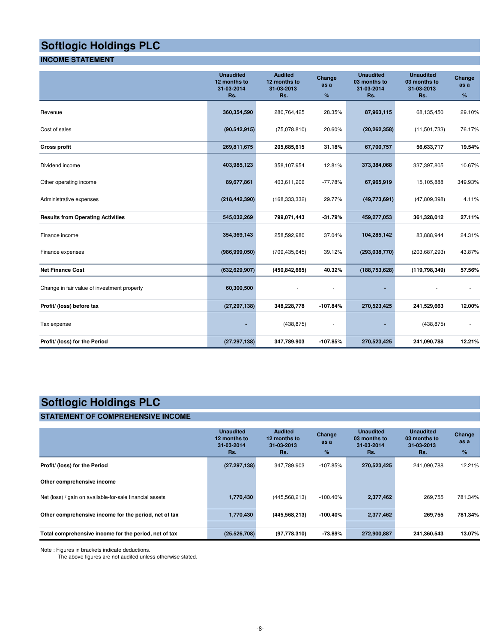# **INCOME STATEMENT**

|                                             | <b>Unaudited</b><br>12 months to<br>31-03-2014<br>Rs. | <b>Audited</b><br>12 months to<br>31-03-2013<br>Rs. | Change<br>as a<br>%      | <b>Unaudited</b><br>03 months to<br>31-03-2014<br>Rs. | <b>Unaudited</b><br>03 months to<br>31-03-2013<br>Rs. | Change<br>as a<br>$\%$ |
|---------------------------------------------|-------------------------------------------------------|-----------------------------------------------------|--------------------------|-------------------------------------------------------|-------------------------------------------------------|------------------------|
| Revenue                                     | 360,354,590                                           | 280,764,425                                         | 28.35%                   | 87,963,115                                            | 68,135,450                                            | 29.10%                 |
| Cost of sales                               | (90, 542, 915)                                        | (75,078,810)                                        | 20.60%                   | (20, 262, 358)                                        | (11,501,733)                                          | 76.17%                 |
| <b>Gross profit</b>                         | 269,811,675                                           | 205,685,615                                         | 31.18%                   | 67,700,757                                            | 56,633,717                                            | 19.54%                 |
| Dividend income                             | 403,985,123                                           | 358,107,954                                         | 12.81%                   | 373,384,068                                           | 337,397,805                                           | 10.67%                 |
| Other operating income                      | 89,677,861                                            | 403,611,206                                         | $-77.78%$                | 67,965,919                                            | 15,105,888                                            | 349.93%                |
| Administrative expenses                     | (218, 442, 390)                                       | (168, 333, 332)                                     | 29.77%                   | (49,773,691)                                          | (47,809,398)                                          | 4.11%                  |
| <b>Results from Operating Activities</b>    | 545,032,269                                           | 799,071,443                                         | $-31.79%$                | 459,277,053                                           | 361,328,012                                           | 27.11%                 |
| Finance income                              | 354,369,143                                           | 258,592,980                                         | 37.04%                   | 104,285,142                                           | 83,888,944                                            | 24.31%                 |
| Finance expenses                            | (986, 999, 050)                                       | (709, 435, 645)                                     | 39.12%                   | (293, 038, 770)                                       | (203, 687, 293)                                       | 43.87%                 |
| <b>Net Finance Cost</b>                     | (632, 629, 907)                                       | (450, 842, 665)                                     | 40.32%                   | (188, 753, 628)                                       | (119, 798, 349)                                       | 57.56%                 |
| Change in fair value of investment property | 60,300,500                                            |                                                     |                          |                                                       |                                                       |                        |
| Profit/ (loss) before tax                   | (27, 297, 138)                                        | 348,228,778                                         | $-107.84%$               | 270,523,425                                           | 241,529,663                                           | 12.00%                 |
| Tax expense                                 |                                                       | (438, 875)                                          | $\overline{\phantom{a}}$ |                                                       | (438, 875)                                            |                        |
| Profit/ (loss) for the Period               | (27, 297, 138)                                        | 347,789,903                                         | $-107.85%$               | 270,523,425                                           | 241,090,788                                           | 12.21%                 |

# **Softlogic Holdings PLC**

# **STATEMENT OF COMPREHENSIVE INCOME**

|                                                          | <b>Unaudited</b><br>12 months to<br>31-03-2014<br>Rs. | <b>Audited</b><br>12 months to<br>31-03-2013<br>Rs. | Change<br>as a<br>$\%$ | <b>Unaudited</b><br>03 months to<br>31-03-2014<br>Rs. | <b>Unaudited</b><br>03 months to<br>31-03-2013<br>Rs. | Change<br>as a<br>% |
|----------------------------------------------------------|-------------------------------------------------------|-----------------------------------------------------|------------------------|-------------------------------------------------------|-------------------------------------------------------|---------------------|
| Profit/ (loss) for the Period                            | (27, 297, 138)                                        | 347,789,903                                         | -107.85%               | 270,523,425                                           | 241,090,788                                           | 12.21%              |
| Other comprehensive income                               |                                                       |                                                     |                        |                                                       |                                                       |                     |
| Net (loss) / gain on available-for-sale financial assets | 1,770,430                                             | (445, 568, 213)                                     | $-100.40\%$            | 2,377,462                                             | 269.755                                               | 781.34%             |
| Other comprehensive income for the period, net of tax    | 1,770,430                                             | (445, 568, 213)                                     | -100.40%               | 2,377,462                                             | 269,755                                               | 781.34%             |
|                                                          |                                                       |                                                     |                        |                                                       |                                                       |                     |
| Total comprehensive income for the period, net of tax    | (25, 526, 708)                                        | (97, 778, 310)                                      | $-73.89\%$             | 272,900,887                                           | 241,360,543                                           | 13.07%              |

Note : Figures in brackets indicate deductions.

The above figures are not audited unless otherwise stated.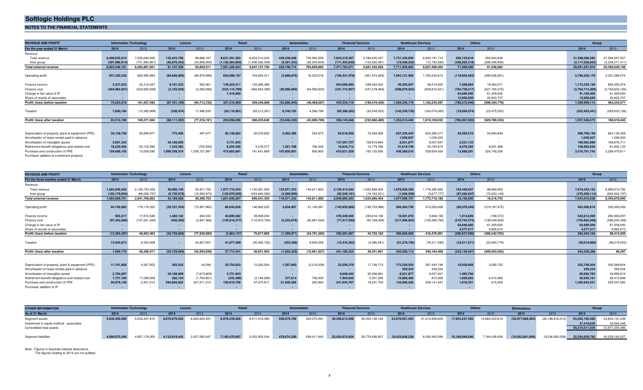**NOTES TO THE FINANCIAL STATEMENTS**

| <b>REVENUE AND PROFIT</b>                         | <b>Information Technology</b> |                 | Leisure        |                | Retail             |                 |              | <b>Automobiles</b><br><b>Financial Services</b> |                 |                 | <b>Healthcare Services</b><br>Others |                 |                 |                 |  |                 | Group           |  |
|---------------------------------------------------|-------------------------------|-----------------|----------------|----------------|--------------------|-----------------|--------------|-------------------------------------------------|-----------------|-----------------|--------------------------------------|-----------------|-----------------|-----------------|--|-----------------|-----------------|--|
| For the year ended 31 March                       | 2014                          | 2013            | 2014           | 2013           | 2014               | 2013            | 2014         | 2013                                            | 2014            | 2013            | 2014                                 | 2013            | 2014            | 2013            |  | 2014            | 2013            |  |
| Revenue                                           |                               |                 |                |                |                    |                 |              |                                                 |                 |                 |                                      |                 |                 |                 |  |                 |                 |  |
| Total revenue                                     | 6.400.635.014                 | 7,035,694,658   | 132,423,798    | 98,666,167     | 8.621.491.503      | 6,653,510,234   | 439,338,048  | 732,954,508                                     | 7,643,219,307   | 5,784,245,337   | 7,731,345,094                        | 6.943.191.714   | 430,133,818     | 350.944.939     |  | 31,398,586,582  | 27,599,207,557  |  |
| Inter group                                       | (397,086,913)                 | (751.892.807)   | (40,676,542    | (43.806.856    | (1, 120, 264, 669) | (1.006.382.508) | (9,591,333)  | (28, 294, 643)                                  | (171,435,636    | (103,002,481)   | (19, 408, 252)                       | (15,783,260)    | (358, 565, 318) | (289, 408, 856) |  | (2.117.028.663) | (2,238,571,411) |  |
| <b>Total external revenue</b>                     | 6.003.548.101                 | 6.283.801.851   | 91.747.256     | 54,859,311     | 7.501.226.834      | 5.647.127.726   | 429.746.715  | 704,659,865                                     | 7.471.783.671   | 5.681.242.856   | 7,711,936,842                        | 6,927,408,454   | 71.568.500      | 61.536.083      |  | 29.281.557.919  | 25,360,636,146  |  |
| Operating profit                                  | 557,250,238                   | 682,995,983     | (94, 848, 895) | (89.979.999)   | 684,698,197        | 704,825,011     | (3,688,876)  | 16,523,016                                      | (168, 441, 978) | (361.574.269)   | 1,943,121,956                        | 1,763,534,613   | (119, 664, 463) | (385,036,281)   |  | 2,798,426,179   | 2,331,288,074   |  |
|                                                   |                               |                 |                |                |                    |                 |              |                                                 |                 |                 |                                      |                 |                 |                 |  |                 |                 |  |
| Finance income                                    | 3,337,625                     | 23,312,347      | 9,191,332      | 560,361        | 149.224.511        | 125,266,388     |              |                                                 | 953.688.995     | 599,433,302     | 49,303,047                           | 58,519,505      | 7,589,684       | 18.364.071      |  | 1,172,335,194   | 825,455,974     |  |
| Finance cost                                      | (484.963.947                  | (524, 650, 838) | (2, 103, 546)  | (5,293,088)    | (534, 115, 799)    | (460, 842, 390) | (38,998,069) | (64,992,603)                                    | (341,712,907    | (437, 278, 469) | (598.079.824)                        | (639,810,521)   | (764,739,317)   | (621, 765, 275) |  | (2,764,713,409) | (2,754,633,184) |  |
| Change in fair value of IP                        |                               |                 |                |                | 7.410.000          |                 |              |                                                 |                 |                 |                                      |                 | 83,690,500      | 61,309,000      |  | 91,100,500      | 61,309,000      |  |
| Share of results of associates                    |                               |                 |                |                |                    |                 |              |                                                 |                 |                 |                                      |                 | 12.850.650      | 20,823,707      |  | 12.850.650      | 20,823,707      |  |
| Profit/ (loss) before taxation                    | 75,623,916                    | 181.657.492     | (87,761,109)   | (94.712.726)   | 307,216,909        | 369.249.009     | (42,686,945) | (48, 469, 587)                                  | 443,534,110     | (199.419.436)   | 1.394.345.179                        | 1.182.243.597   | (780, 272, 946) | (906.304.778)   |  | 1,309,999,114   | 484.243.571     |  |
|                                                   |                               |                 |                |                |                    |                 |              |                                                 |                 |                 |                                      |                 |                 |                 |  |                 |                 |  |
| Taxation                                          | 7,690,184                     | (12, 385, 908)  | (350, 474)     | 17,496,535     | (24, 118, 901)     | (83, 213, 381)  | 8,740,725    | 4,568,798                                       | (85, 388, 262)  | (33,549,053)    | (142, 330, 739)                      | (163, 074, 565) | (16,694,974)    | (23, 475, 552)  |  | (252, 452, 441) | (293, 633, 126) |  |
| Profit/ (loss) after taxation                     | 83,314,100                    | 169.271.584     | (88, 111, 583) | (77, 216, 191) | 283,098,008        | 286.035.628     | (33,946,220) | (43,900,789)                                    | 358,145,848     | (232, 968, 489) | 1,252,014,440                        | 1.019.169.032   | (796, 967, 920) | (929, 780, 330) |  | 1,057,546,673   | 190,610,445     |  |
|                                                   |                               |                 |                |                |                    |                 |              |                                                 |                 |                 |                                      |                 |                 |                 |  |                 |                 |  |
| Depreciation of property, plant & equipment (PPE) | 34,159,738                    | 30,899,977      | 775.490        | 497.477        | 95,149,662         | 50,578,855      | 5,482,368    | 534,675                                         | 84,518,936      | 73,394,909      | 657,236,445                          | 633,385,517     | 29,385,510      | 34.844.849      |  | 906,708,149     | 824,136,259     |  |
| Amortisation of lease rentals paid in advance     |                               |                 |                |                |                    |                 |              | $\sim$                                          |                 |                 | 1,036,927                            | 1,036,933       |                 |                 |  | 1,036,927       | 1,036,933       |  |
| Amortisation of intangible assets                 | 3,091,342                     |                 | 34,188,858     | $\sim$         | 4.731.943          |                 |              | $\sim$                                          | 137,307,727     | 159,818,864     | 8,521,877                            | 9,057,847       | 2.221.133       |                 |  | 190,062,880     | 168,876,711     |  |
| Retirement benefit obligations and related cost   | 18.220.926                    | 22.122.992      | 1,343,362      | (723, 593)     | 8.295.300          | 3,276,577       | 1.281.708    | 706,000                                         | 18.644.712      | 14.774.766      | 51,619,749                           | 33,183,915      | 6.678.293       | 8,501,466       |  | 106,084,050     | 81,842,123      |  |
| Purchase and construction of PPE                  | 104,608,193                   | 13,008,595      | 1,999,709,319  | ,208,721,887   | 415,663,891        | 181,641,869     | 107,650,001  | 605,800                                         | 433,621,529     | 100,125,830     | 436,380,518                          | 529,624,424     | 13,068,291      | 224,742,206     |  | 3,510,701,742   | 2,258,470,611   |  |
| Purchase/ addition to investment property         | $\sim$                        |                 |                |                | $\sim$             |                 |              |                                                 |                 |                 |                                      |                 |                 |                 |  |                 |                 |  |

| <b>REVENUE AND PROFIT</b>                         | <b>Information Technology</b> |                 | Leisure        |              | Retail        |                 | <b>Automobiles</b> |              | <b>Financial Services</b> |                | <b>Healthcare Services</b> |                 | <b>Others</b>   |                 | Group         |                 |
|---------------------------------------------------|-------------------------------|-----------------|----------------|--------------|---------------|-----------------|--------------------|--------------|---------------------------|----------------|----------------------------|-----------------|-----------------|-----------------|---------------|-----------------|
| For the three months ended 31 March               | 2014                          | 2013            | 2014           | 2013         | 2014          | 2013            | 2014               | 2013         | 2014                      | 2013           | 2014                       | 2013            | 2014            | 2013            | 2014          | 2013            |
| Revenue                                           |                               |                 |                |              |               |                 |                    |              |                           |                |                            |                 |                 |                 |               |                 |
| Total revenue                                     | 1.583.849.445                 | 2,129,733,459   | 49,900,146     | 55.971.726   | 1,977,710,343 | 1,150,381,935   | 123,071,332        | 144.811.900  | 2,100,414,544             | 1.652.848.925  | 1,979,046,295              | 1,776,395,945   | 105,440,047     | 88,869,902      | 7,919,432,152 | 6,999,013,792   |
| Inter group                                       | (100, 179, 694)               | (88,026,797)    | (6,730,578)    | (15,580,973) | (126,070,056  | (454,840,580)   | (4,500,000)        |              | (50, 549, 181)            | (19, 163, 521) | (1,046,558)                | (3,677,777)     | (87, 284, 047)  | (72,653,149)    | (376,360,114) | (653,942,797    |
| <b>Total external revenue</b>                     | 1,483,669,751                 | 2,041,706,662   | 43,169,568     | 40,390,753   | 1.851.640.287 | 695,541,355     | 118,571,332        | 144,811,900  | 2,049,865,363             | 1,633,685,404  | 1,977,999,737              | 1.772.718.168   | 18.156.000      | 16.216.753      | 7,543,072,038 | 6,345,070,995   |
|                                                   |                               |                 |                |              |               |                 |                    |              |                           |                |                            |                 |                 |                 |               |                 |
| Operating profit                                  | 84,192,892                    | 179,174,355     | (55, 761, 534) | (73,957,962) | 86,644,838    | 146,962,225     | 3,834,807          | 21,100,261   | (143, 830, 666)           | 136,723,986)   | 508,364,730                | 515,052,608     | (80,078,249)    | (319, 187, 475) | 403,366,818   | 332,420,026     |
| Finance income                                    | 955,217                       | 17,910,548      | 1,482,142      | 284,533      | 45,009,382    | 39,928,234      |                    | $\sim$       | 478,349,949               | 230,616,106    | 15,901,070                 | 3,806,158       | 1.914.609       | (180, 572)      | 543,612,369   | 292,365,007     |
| Finance cost                                      | (97, 432, 606)                | (147, 231, 440) | (450, 268)     | (3,847,466)  | (135,618,377  | (110, 972, 794) | (5,233,878)        | (45,891,544) | (77, 917, 596)            | (50, 169, 938) | (217, 406, 942)            | (100, 382, 765) | (216,742,373    | (138, 049, 409) | (750,802,040) | (596, 545, 356) |
| Change in fair value of IP                        |                               |                 |                |              |               |                 |                    |              |                           |                |                            |                 | 83.690.500      | 61,309,000      | 83,690,500    | 61,309,000      |
| Share of results of associates                    |                               |                 |                |              |               |                 |                    |              |                           |                |                            |                 | 4.577.517       | 9.865.673       | 4.577.517     | 9,865,673       |
| Profit/ (loss) before taxation                    | (12, 284, 497)                | 49.853.463      | (54, 729, 660) | (77.520.895) | (3,964,157)   | 75.917.665      | (1,399,071)        | (24,791,283) | 256,601,687               | 43.722.182     | 306.858.858                | 418.476.001     | (206,637,996    | (386.242.783)   | 284.445.164   | 99,414,350      |
|                                                   |                               |                 |                |              |               |                 |                    |              |                           |                |                            |                 |                 |                 |               |                 |
| Taxation                                          | 13,943,673                    | 8,353,008       |                | 34,827,057   | 41,677,498    | (45,365,722)    | (433, 358)         | 8,830,256    | (15, 416, 362)            | (4,390,281)    | (51, 278, 746)             | (78, 311, 592)  | (18,511,571)    | (23, 260, 779)  | (30,018,866)  | (99,318,053)    |
| Profit/ (loss) after taxation                     | 1,659,176                     | 58.206.471      | (54, 729, 660) | (42,693,838) | 37,713,341    | 30,551,943      | (1,832,429)        | (15,961,027) | 241, 185, 325             | 39,331,901     | 255,580,112                | 340.164.409     | (225, 149, 567) | (409, 503, 562) | 254.426.298   | 96,297          |
|                                                   |                               |                 |                |              |               |                 |                    |              |                           |                |                            |                 |                 |                 |               |                 |
|                                                   |                               |                 |                |              |               |                 |                    |              |                           |                |                            |                 |                 |                 |               |                 |
| Depreciation of property, plant & equipment (PPE) | 11,741,806                    | 4,357,852       | 403.525        | 44,294       | 35,754,832    | 12,320,504      | 1,557,860          | (2,216,208)  | 23,030,379                | 17,126,712     | 172,329,554                | 267,443,748     | 10,930,868      | 3,292,702       | 255,748,824   | 302,369,604     |
| Amortisation of lease rentals paid in advance     |                               |                 |                |              |               |                 |                    |              |                           |                | 259,233                    | 259,234         |                 |                 | 259,233       | 259,234         |
| Amortisation of intangible assets                 | 2,704,897                     |                 | 34,188,858     | (7,673,809)  | 4,731,943     |                 |                    |              | 9,049,442                 | 32,506,881     | 8.521.877                  | 9,057,847       | 1,485,766       |                 | 60,682,783    | 33,890,919      |
| Retirement benefit obligations and related cost   | 7,737,166                     | 17,098,008      | 282.154        | (1,784,801)  | (243, 496)    | (2, 164, 085)   | 377.614            | 706,000      | 7,924,640                 | 5,331,295      | 12,900,400                 | 815,506         | 1,656,683       | 8.410.966       | 30,635,161    | 28,412,889      |
| Purchase and construction of PPE                  | 94,978,149                    | 2.451.012       | 594,804,822    | 227,011,310  | 195,810,768   | 47,375,817      | 21,949,268         | 200,864      | 241,624,767               | 18,241,703     | 144,856,426                | 229,141,447     | 1.618.351       | 615.429         | 1,295,642,551 | 525,037,582     |
| Purchase/ addition to IP                          |                               |                 |                |              |               |                 |                    |              |                           |                |                            |                 |                 |                 |               |                 |

| <b>OTHER INFORMATION</b>                 | <b>Information Technology</b> |              |               |               | Reta          |               | <b>Automobiles</b> |             | <b>Financial Services</b> |                | <b>Healthcare Services</b> |                |                |               | <b>Eliminations</b> |                     | Group          |                |
|------------------------------------------|-------------------------------|--------------|---------------|---------------|---------------|---------------|--------------------|-------------|---------------------------|----------------|----------------------------|----------------|----------------|---------------|---------------------|---------------------|----------------|----------------|
| As at 31 March                           | 2014                          | 2013         | 2014          |               | 2014          |               | 2014               |             | 2014                      |                |                            | 2013           | 2014           |               | 2014                |                     |                |                |
| Segment assets                           | 5.830.360.580                 | 5,553,337,81 | 8.070.676.044 | 6,260,624,391 | 8,978,239,828 | 6,511,416,38  | 558,679,78         | 329,270,081 | 30,398,613,848            | 25,302,126,164 | 23,878,951,403             | 21,413,958,605 | 17,654,247,392 | 14,660,023,81 | (30,077,668,484)    | (26, 196, 616, 012) | 65,292,100,400 | 53,834,141,238 |
| Investment in equity method - associates |                               |              |               |               |               |               |                    |             |                           |                |                            |                |                |               |                     |                     | 27,410,635     | 43,064,248     |
| Consolidate total assets                 |                               |              |               |               |               |               |                    |             |                           |                |                            |                |                |               |                     |                     | 65,319,511,035 | 53,877,205,486 |
|                                          |                               |              |               |               |               |               |                    |             |                           |                |                            |                |                |               |                     |                     |                |                |
| Segment liabilities                      | 4589075548                    | 4.957.178.30 | 4,123,919,443 | 2.427.062.647 | 7.185.476.687 | 5.422.953.344 | 479,674,290        | 299,411,843 | 25,424,974,834            | 20,779,936,60  | 10,423,646,238             | 8,393,445,094  | 10,180,684,846 | 7,184,438,45  | (10,052,801,094     | (9,236,262,036)     | 52.354.650.792 | 40,228,164,257 |

Note : Figures in brackets indicate deductions. The figures relating to 2014 are not audited.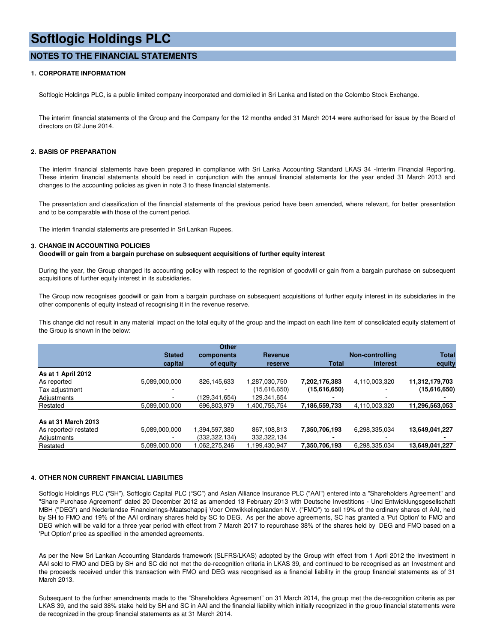## **NOTES TO THE FINANCIAL STATEMENTS**

### **1. CORPORATE INFORMATION**

Softlogic Holdings PLC, is a public limited company incorporated and domiciled in Sri Lanka and listed on the Colombo Stock Exchange.

The interim financial statements of the Group and the Company for the 12 months ended 31 March 2014 were authorised for issue by the Board of directors on 02 June 2014.

#### **2. BASIS OF PREPARATION**

The interim financial statements have been prepared in compliance with Sri Lanka Accounting Standard LKAS 34 -Interim Financial Reporting. These interim financial statements should be read in conjunction with the annual financial statements for the year ended 31 March 2013 and changes to the accounting policies as given in note 3 to these financial statements.

The presentation and classification of the financial statements of the previous period have been amended, where relevant, for better presentation and to be comparable with those of the current period.

The interim financial statements are presented in Sri Lankan Rupees.

#### **3. CHANGE IN ACCOUNTING POLICIES**

**Goodwill or gain from a bargain purchase on subsequent acquisitions of further equity interest**

During the year, the Group changed its accounting policy with respect to the regnision of goodwill or gain from a bargain purchase on subsequent acquisitions of further equity interest in its subsidiaries.

The Group now recognises goodwill or gain from a bargain purchase on subsequent acquisitions of further equity interest in its subsidiaries in the other components of equity instead of recognising it in the revenue reserve.

This change did not result in any material impact on the total equity of the group and the impact on each line item of consolidated equity statement of the Group is shown in the below:

|                       |               | Other         |               |               |                 |                |
|-----------------------|---------------|---------------|---------------|---------------|-----------------|----------------|
|                       | <b>Stated</b> | components    | Revenue       |               | Non-controlling | <b>Total</b>   |
|                       | capital       | of equity     | reserve       | <b>Total</b>  | interest        | equity         |
| As at 1 April 2012    |               |               |               |               |                 |                |
| As reported           | 5,089,000,000 | 826,145,633   | 1,287,030,750 | 7,202,176,383 | 4,110,003,320   | 11,312,179,703 |
| Tax adjustment        |               |               | (15,616,650)  | (15,616,650)  |                 | (15,616,650)   |
| Adjustments           |               | (129,341,654) | 129,341,654   |               |                 |                |
| Restated              | 5,089,000,000 | 696,803,979   | 400,755,754   | 7,186,559,733 | 4,110,003,320   | 11,296,563,053 |
| As at 31 March 2013   |               |               |               |               |                 |                |
| As reported/ restated | 5,089,000,000 | 1,394,597,380 | 867,108,813   | 7,350,706,193 | 6,298,335,034   | 13,649,041,227 |
| Adjustments           |               | (332,322,134) | 332,322,134   |               |                 |                |
| Restated              | 5,089,000,000 | .062,275,246  | 1,199,430,947 | 7,350,706,193 | 6,298,335,034   | 13,649,041,227 |

#### **4. OTHER NON CURRENT FINANCIAL LIABILITIES**

Softlogic Holdings PLC ("SH"), Softlogic Capital PLC ("SC") and Asian Alliance Insurance PLC ("AAI") entered into a "Shareholders Agreement" and "Share Purchase Agreement" dated 20 December 2012 as amended 13 February 2013 with Deutsche Investitions - Und Entwicklungsgesellschaft MBH ("DEG") and Nederlandse Financierings-Maatschappij Voor Ontwikkelingslanden N.V. ("FMO") to sell 19% of the ordinary shares of AAI, held by SH to FMO and 19% of the AAI ordinary shares held by SC to DEG. As per the above agreements, SC has granted a 'Put Option' to FMO and DEG which will be valid for a three year period with effect from 7 March 2017 to repurchase 38% of the shares held by DEG and FMO based on a 'Put Option' price as specified in the amended agreements.

As per the New Sri Lankan Accounting Standards framework (SLFRS/LKAS) adopted by the Group with effect from 1 April 2012 the Investment in AAI sold to FMO and DEG by SH and SC did not met the de-recognition criteria in LKAS 39, and continued to be recognised as an Investment and the proceeds received under this transaction with FMO and DEG was recognised as a financial liability in the group financial statements as of 31 March 2013.

Subsequent to the further amendments made to the "Shareholders Agreement" on 31 March 2014, the group met the de-recognition criteria as per LKAS 39, and the said 38% stake held by SH and SC in AAI and the financial liability which initially recognized in the group financial statements were de recognized in the group financial statements as at 31 March 2014.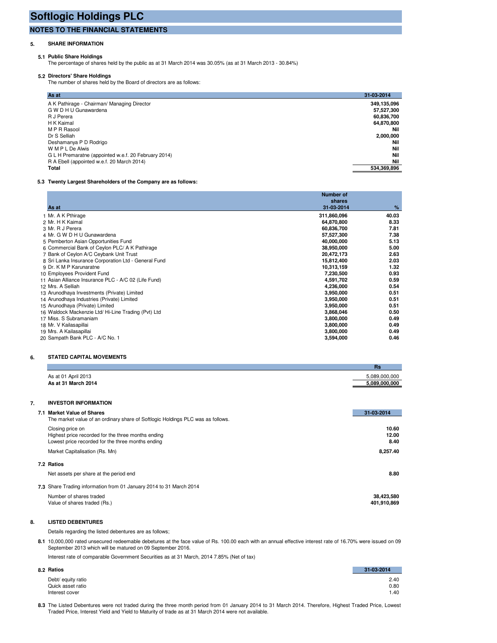## **NOTES TO THE FINANCIAL STATEMENTS**

### **5. SHARE INFORMATION**

#### **5.1 Public Share Holdings**

The percentage of shares held by the public as at 31 March 2014 was 30.05% (as at 31 March 2013 - 30.84%)

**5.2 Directors' Share Holdings** The number of shares held by the Board of directors are as follows:

| As at                                                | 31-03-2014  |
|------------------------------------------------------|-------------|
| A K Pathirage - Chairman/ Managing Director          | 349,135,096 |
| G W D H U Gunawardena                                | 57,527,300  |
| R J Perera                                           | 60,836,700  |
| H K Kaimal                                           | 64,870,800  |
| M P R Rasool                                         | Nil         |
| Dr S Selliah                                         | 2,000,000   |
| Deshamanya P D Rodrigo                               | Nil         |
| W M P L De Alwis                                     | Nil         |
| G L H Premaratne (appointed w.e.f. 20 February 2014) | Nil         |
| R A Ebell (appointed w.e.f. 20 March 2014)           | Nil         |
| Total                                                | 534,369,896 |

#### **5.3 Twenty Largest Shareholders of the Company are as follows:**

|                                                      | <b>Number of</b><br>shares |       |
|------------------------------------------------------|----------------------------|-------|
| As at                                                | 31-03-2014                 | %     |
| 1 Mr. A K Pthirage                                   | 311,860,096                | 40.03 |
| 2 Mr. H K Kaimal                                     | 64,870,800                 | 8.33  |
| 3 Mr. R J Perera                                     | 60,836,700                 | 7.81  |
| 4 Mr. G W D H U Gunawardena                          | 57,527,300                 | 7.38  |
| 5 Pemberton Asian Opportunities Fund                 | 40,000,000                 | 5.13  |
| 6 Commercial Bank of Ceylon PLC/ A K Pathirage       | 38,950,000                 | 5.00  |
| 7 Bank of Ceylon A/C Ceybank Unit Trust              | 20,472,173                 | 2.63  |
| 8 Sri Lanka Insurance Corporation Ltd - General Fund | 15,812,400                 | 2.03  |
| 9 Dr. K M P Karunaratne                              | 10,313,159                 | 1.32  |
| 10 Employees Provident Fund                          | 7,230,500                  | 0.93  |
| 11 Asian Alliance Insurance PLC - A/C 02 (Life Fund) | 4,591,702                  | 0.59  |
| 12 Mrs. A Selliah                                    | 4,236,000                  | 0.54  |
| 13 Arunodhaya Investments (Private) Limited          | 3,950,000                  | 0.51  |
| 14 Arunodhaya Industries (Private) Limited           | 3,950,000                  | 0.51  |
| 15 Arunodhaya (Private) Limited                      | 3,950,000                  | 0.51  |
| 16 Waldock Mackenzie Ltd/ Hi-Line Trading (Pvt) Ltd  | 3,868,046                  | 0.50  |
| 17 Miss. S Subramaniam                               | 3,800,000                  | 0.49  |
| 18 Mr. V Kailasapillai                               | 3,800,000                  | 0.49  |
| 19 Mrs. A Kailasapillai                              | 3,800,000                  | 0.49  |
| 20 Sampath Bank PLC - A/C No. 1                      | 3,594,000                  | 0.46  |

#### **6. STATED CAPITAL MOVEMENTS**

|                                                   | Rs            |
|---------------------------------------------------|---------------|
|                                                   | 5,089,000,000 |
| As at 01 April 2013<br><b>As at 31 March 2014</b> | 5,089,000,000 |

# **7. INVESTOR INFORMATION**

| 7.1 Market Value of Shares                                                                                                  | 31-03-2014             |
|-----------------------------------------------------------------------------------------------------------------------------|------------------------|
| The market value of an ordinary share of Softlogic Holdings PLC was as follows.                                             |                        |
| Closing price on<br>Highest price recorded for the three months ending<br>Lowest price recorded for the three months ending | 10.60<br>12.00<br>8.40 |
| Market Capitalisation (Rs. Mn)                                                                                              | 8.257.40               |
| 7.2 Ratios                                                                                                                  |                        |
| Net assets per share at the period end                                                                                      | 8.80                   |
| 7.3 Share Trading information from 01 January 2014 to 31 March 2014                                                         |                        |
| Number of shares traded                                                                                                     | 38,423,580             |
| Value of shares traded (Rs.)                                                                                                | 401.910.869            |

### **8. LISTED DEBENTURES**

Details regarding the listed debentures are as follows;

**8.1** 10,000,000 rated unsecured redeemable debetures at the face value of Rs. 100.00 each with an annual effective interest rate of 16.70% were issued on 09 September 2013 which will be matured on 09 September 2016.

Interest rate of comparable Government Securities as at 31 March, 2014 7.85% (Net of tax)

| 8.2 Ratios         | 31-03-2014 |
|--------------------|------------|
| Debt/ equity ratio | 2.40       |
| Quick asset ratio  | 0.80       |
| Interest cover     | 1.40       |

**8.3** The Listed Debentures were not traded during the three month period from 01 January 2014 to 31 March 2014. Therefore, Highest Traded Price, Lowest Traded Price, Interest Yield and Yield to Maturity of trade as at 31 March 2014 were not available.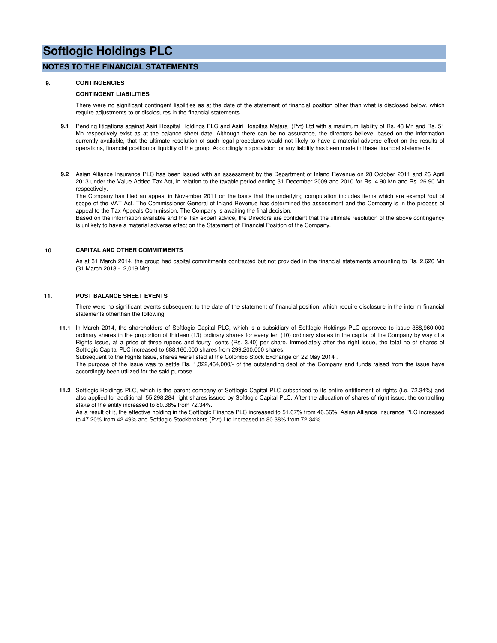### **NOTES TO THE FINANCIAL STATEMENTS**

#### **9. CONTINGENCIES**

#### **CONTINGENT LIABILITIES**

There were no significant contingent liabilities as at the date of the statement of financial position other than what is disclosed below, which require adjustments to or disclosures in the financial statements.

- **9.1** Pending litigations against Asiri Hospital Holdings PLC and Asiri Hospitas Matara (Pvt) Ltd with a maximum liability of Rs. 43 Mn and Rs. 51 Mn respectively exist as at the balance sheet date. Although there can be no assurance, the directors believe, based on the information currently available, that the ultimate resolution of such legal procedures would not likely to have a material adverse effect on the results of operations, financial position or liquidity of the group. Accordingly no provision for any liability has been made in these financial statements.
- **9.2** Asian Alliance Insurance PLC has been issued with an assessment by the Department of Inland Revenue on 28 October 2011 and 26 April 2013 under the Value Added Tax Act, in relation to the taxable period ending 31 December 2009 and 2010 for Rs. 4.90 Mn and Rs. 26.90 Mn respectively.

The Company has filed an appeal in November 2011 on the basis that the underlying computation includes items which are exempt /out of scope of the VAT Act. The Commissioner General of Inland Revenue has determined the assessment and the Company is in the process of appeal to the Tax Appeals Commission. The Company is awaiting the final decision.

Based on the information available and the Tax expert advice, the Directors are confident that the ultimate resolution of the above contingency is unlikely to have a material adverse effect on the Statement of Financial Position of the Company.

#### **10 CAPITAL AND OTHER COMMITMENTS**

As at 31 March 2014, the group had capital commitments contracted but not provided in the financial statements amounting to Rs. 2,620 Mn (31 March 2013 - 2,019 Mn).

#### **11. POST BALANCE SHEET EVENTS**

There were no significant events subsequent to the date of the statement of financial position, which require disclosure in the interim financial statements otherthan the following.

**11.1** In March 2014, the shareholders of Softlogic Capital PLC, which is a subsidiary of Softlogic Holdings PLC approved to issue 388,960,000 ordinary shares in the proportion of thirteen (13) ordinary shares for every ten (10) ordinary shares in the capital of the Company by way of a Rights Issue, at a price of three rupees and fourty cents (Rs. 3.40) per share. Immediately after the right issue, the total no of shares of Softlogic Capital PLC increased to 688,160,000 shares from 299,200,000 shares.

Subsequent to the Rights Issue, shares were listed at the Colombo Stock Exchange on 22 May 2014 .

The purpose of the issue was to settle Rs. 1,322,464,000/- of the outstanding debt of the Company and funds raised from the issue have accordingly been utilized for the said purpose.

**11.2** Softlogic Holdings PLC, which is the parent company of Softlogic Capital PLC subscribed to its entire entitlement of rights (i.e. 72.34%) and also applied for additional 55,298,284 right shares issued by Softlogic Capital PLC. After the allocation of shares of right issue, the controlling stake of the entity increased to 80.38% from 72.34%.

As a result of it, the effective holding in the Softlogic Finance PLC increased to 51.67% from 46.66%, Asian Alliance Insurance PLC increased to 47.20% from 42.49% and Softlogic Stockbrokers (Pvt) Ltd increased to 80.38% from 72.34%.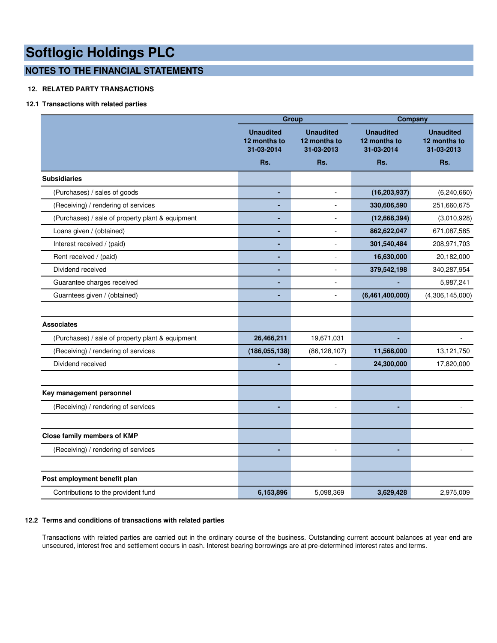# **NOTES TO THE FINANCIAL STATEMENTS**

## **12. RELATED PARTY TRANSACTIONS**

## **12.1 Transactions with related parties**

|                                                  |                                                | Group                                          |                                                | Company                                        |  |
|--------------------------------------------------|------------------------------------------------|------------------------------------------------|------------------------------------------------|------------------------------------------------|--|
|                                                  | <b>Unaudited</b><br>12 months to<br>31-03-2014 | <b>Unaudited</b><br>12 months to<br>31-03-2013 | <b>Unaudited</b><br>12 months to<br>31-03-2014 | <b>Unaudited</b><br>12 months to<br>31-03-2013 |  |
|                                                  | Rs.                                            | Rs.                                            | Rs.                                            | Rs.                                            |  |
| <b>Subsidiaries</b>                              |                                                |                                                |                                                |                                                |  |
| (Purchases) / sales of goods                     | ٠                                              | ÷.                                             | (16, 203, 937)                                 | (6, 240, 660)                                  |  |
| (Receiving) / rendering of services              | ä,                                             |                                                | 330,606,590                                    | 251,660,675                                    |  |
| (Purchases) / sale of property plant & equipment |                                                | ÷,                                             | (12,668,394)                                   | (3,010,928)                                    |  |
| Loans given / (obtained)                         | ٠                                              | $\overline{a}$                                 | 862,622,047                                    | 671,087,585                                    |  |
| Interest received / (paid)                       | $\blacksquare$                                 | ä,                                             | 301,540,484                                    | 208,971,703                                    |  |
| Rent received / (paid)                           | ä,                                             | ÷,                                             | 16,630,000                                     | 20,182,000                                     |  |
| Dividend received                                | ÷                                              | L                                              | 379,542,198                                    | 340,287,954                                    |  |
| Guarantee charges received                       | ٠                                              | ÷.                                             |                                                | 5,987,241                                      |  |
| Guarntees given / (obtained)                     |                                                | ä,                                             | (6,461,400,000)                                | (4,306,145,000)                                |  |
|                                                  |                                                |                                                |                                                |                                                |  |
| <b>Associates</b>                                |                                                |                                                |                                                |                                                |  |
| (Purchases) / sale of property plant & equipment | 26,466,211                                     | 19,671,031                                     |                                                |                                                |  |
| (Receiving) / rendering of services              | (186, 055, 138)                                | (86, 128, 107)                                 | 11,568,000                                     | 13,121,750                                     |  |
| Dividend received                                |                                                | ä,                                             | 24,300,000                                     | 17,820,000                                     |  |
|                                                  |                                                |                                                |                                                |                                                |  |
| Key management personnel                         |                                                |                                                |                                                |                                                |  |
| (Receiving) / rendering of services              |                                                | L.                                             |                                                |                                                |  |
|                                                  |                                                |                                                |                                                |                                                |  |
| Close family members of KMP                      |                                                |                                                |                                                |                                                |  |
| (Receiving) / rendering of services              | ٠                                              | $\blacksquare$                                 | ٠                                              | $\sim$                                         |  |
|                                                  |                                                |                                                |                                                |                                                |  |
| Post employment benefit plan                     |                                                |                                                |                                                |                                                |  |
| Contributions to the provident fund              | 6,153,896                                      | 5,098,369                                      | 3,629,428                                      | 2,975,009                                      |  |

### **12.2 Terms and conditions of transactions with related parties**

Transactions with related parties are carried out in the ordinary course of the business. Outstanding current account balances at year end are unsecured, interest free and settlement occurs in cash. Interest bearing borrowings are at pre-determined interest rates and terms.